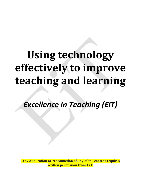# **Using technology effectively to improve teaching and learning**

*Excellence in Teaching (EiT)*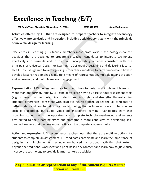# *Excellence in Teaching (EiT)*

**260 South Texas Blvd. Suite 303 Weslaco, TX 78596 (956) 854-4085 eitacp@yahoo.com**

**Activities offered by EiT that are designed to prepare teachers to integrate technology effectively into curricula and instruction, including activities consistent with the principals of universal design for learning.**

Excellences in Teaching (EiT) faculty members incorporate various technology-enhanced activities that are designed to prepare EiT teacher candidates to integrate technology effectively into curricula and instruction. Incorporating activities consistent with the principals of Universal Design for Learning (UDL) require designing and delivering face-toface EiT courses geared towards guiding EiT teacher candidates to better understand how to develop lessons that emphasize multiple means of representation, multiple means of action and expression, and multiple means of engagement.

**Representation:** UDL recommends teachers learn how to design and implement lessons in more than one format. Initially, EiT candidates learn how to utilize various assessment tools (e.g., surveys) that best determine students' learning styles and strengths. Understanding students' differences (consistent with cognitive neuroscience), guides the EiT candidate to better understand how to judiciously use technology that includes not only printed sources such as a textbook, but audio, video and interactive learning. Candidates learn that providing students with the opportunity to complete technology-enhanced assignments best suited to their learning styles and strengths is more conducive to developing selfdirected learners that become more motivated to complete academic tasks.

**Action and expression:** UDL recommends teachers learn that there are multiple options for students to complete an assignment. EiT candidates participate and learn the importance of designing and implementing technology-enhanced instructional activities that extend beyond the traditional worksheet and print-based environment and learn how to judiciously incorporate technology to provide learner-centered activities.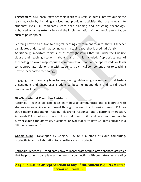**Engagement:** UDL encourages teachers learn to sustain students' interest during the learning cycle by including choices and providing activities that are relevant to students' lives. EiT candidates learn that planning and designing technologyenhanced activities extends beyond the implementation of multimedia presentation such as power point.

Learning how to transition to a digital learning environment requires that EiT teacher candidates understand that technology is a tool- a tool that is used judiciously. Additionally, important topics such as copyright issues that fall under the Fair Use clause and teaching students about plagiarism is included. Appropriate use of technology to avoid inappropriate communication that can be "perceived" or leads to inappropriate relationship with students is a critical component prior to teaching how to incorporate technology.

Engaging in and learning how to create a digital-learning environment that fosters engagement and encourages student to become independent and self-directed learners include:

#### **NiceNet (Internet Classroom Assistant)**

Rationale: Teaches EiT candidates learn how to communicate and collaborate with students in an online environment through the use of a discussion board. ICA has three major components: reading, electronic response, and electronic interaction. Although ICA is not synchronous, it is conducive to EiT candidates learning how to further extend the activities, questions, and/or videos to have students engage in a "flipped classroom."

**Google Suite** - Developed by Google, G Suite is a brand of cloud computing, productivity and collaboration tools, software and products.

Rationale: Teaches EiT candidates how to incorporate technology-enhanced activities that help students complete assignments by connecting with peers/teacher, creating